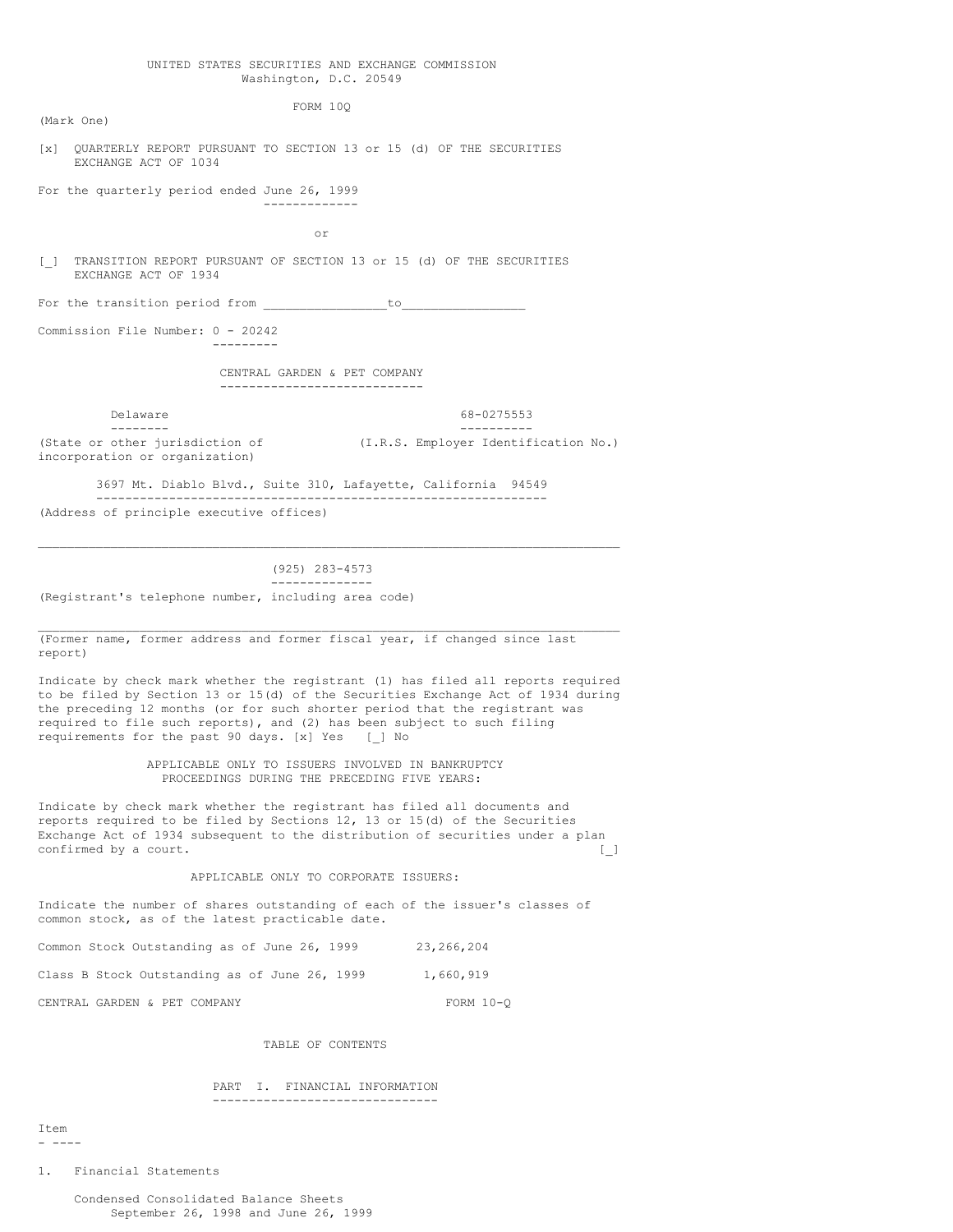#### UNITED STATES SECURITIES AND EXCHANGE COMMISSION Washington, D.C. 20549

FORM 10Q

(Mark One)

[x] QUARTERLY REPORT PURSUANT TO SECTION 13 or 15 (d) OF THE SECURITIES EXCHANGE ACT OF 1034

For the quarterly period ended June 26, 1999 -------------

or

[\_] TRANSITION REPORT PURSUANT OF SECTION 13 or 15 (d) OF THE SECURITIES EXCHANGE ACT OF 1934

For the transition period from to to

---------

Commission File Number: 0 - 20242

CENTRAL GARDEN & PET COMPANY ----------------------------

Delaware 68-0275553

-------- ---------- (State or other jurisdiction of (I.R.S. Employer Identification No.)

incorporation or organization)

3697 Mt. Diablo Blvd., Suite 310, Lafayette, California 94549 -------------------------------------------------------------- (Address of principle executive offices)

 $\mathcal{L}_\mathcal{L} = \mathcal{L}_\mathcal{L} = \mathcal{L}_\mathcal{L} = \mathcal{L}_\mathcal{L} = \mathcal{L}_\mathcal{L} = \mathcal{L}_\mathcal{L} = \mathcal{L}_\mathcal{L} = \mathcal{L}_\mathcal{L} = \mathcal{L}_\mathcal{L} = \mathcal{L}_\mathcal{L} = \mathcal{L}_\mathcal{L} = \mathcal{L}_\mathcal{L} = \mathcal{L}_\mathcal{L} = \mathcal{L}_\mathcal{L} = \mathcal{L}_\mathcal{L} = \mathcal{L}_\mathcal{L} = \mathcal{L}_\mathcal{L}$ 

 $\mathcal{L}_\mathcal{L} = \mathcal{L}_\mathcal{L} = \mathcal{L}_\mathcal{L} = \mathcal{L}_\mathcal{L} = \mathcal{L}_\mathcal{L} = \mathcal{L}_\mathcal{L} = \mathcal{L}_\mathcal{L} = \mathcal{L}_\mathcal{L} = \mathcal{L}_\mathcal{L} = \mathcal{L}_\mathcal{L} = \mathcal{L}_\mathcal{L} = \mathcal{L}_\mathcal{L} = \mathcal{L}_\mathcal{L} = \mathcal{L}_\mathcal{L} = \mathcal{L}_\mathcal{L} = \mathcal{L}_\mathcal{L} = \mathcal{L}_\mathcal{L}$ 

(925) 283-4573 -------------- (Registrant's telephone number, including area code)

(Former name, former address and former fiscal year, if changed since last report)

Indicate by check mark whether the registrant (1) has filed all reports required to be filed by Section 13 or 15(d) of the Securities Exchange Act of 1934 during the preceding 12 months (or for such shorter period that the registrant was required to file such reports), and (2) has been subject to such filing requirements for the past 90 days. [x] Yes [\_] No

> APPLICABLE ONLY TO ISSUERS INVOLVED IN BANKRUPTCY PROCEEDINGS DURING THE PRECEDING FIVE YEARS:

Indicate by check mark whether the registrant has filed all documents and reports required to be filed by Sections 12, 13 or 15(d) of the Securities Exchange Act of 1934 subsequent to the distribution of securities under a plan confirmed by a court. [ ]

#### APPLICABLE ONLY TO CORPORATE ISSUERS:

Indicate the number of shares outstanding of each of the issuer's classes of common stock, as of the latest practicable date.

Common Stock Outstanding as of June 26, 1999 23,266,204 Class B Stock Outstanding as of June 26, 1999 1,660,919

CENTRAL GARDEN & PET COMPANY FORM 10-Q

TABLE OF CONTENTS

## PART I. FINANCIAL INFORMATION

-------------------------------

Item - ----

1. Financial Statements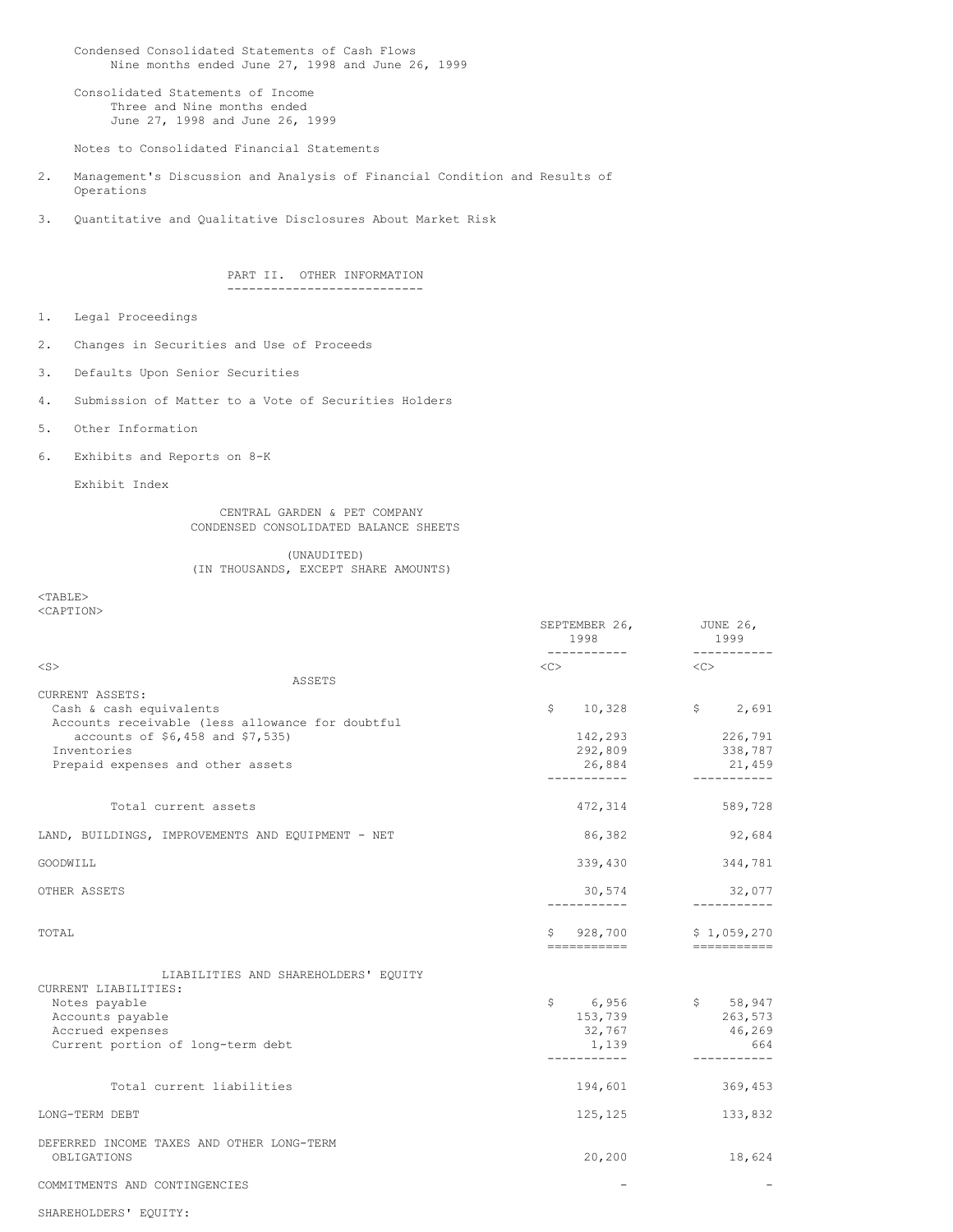Condensed Consolidated Statements of Cash Flows Nine months ended June 27, 1998 and June 26, 1999

Consolidated Statements of Income Three and Nine months ended June 27, 1998 and June 26, 1999

Notes to Consolidated Financial Statements

- 2. Management's Discussion and Analysis of Financial Condition and Results of Operations
- 3. Quantitative and Qualitative Disclosures About Market Risk

PART II. OTHER INFORMATION ---------------------------

- 1. Legal Proceedings
- 2. Changes in Securities and Use of Proceeds
- 3. Defaults Upon Senior Securities
- 4. Submission of Matter to a Vote of Securities Holders
- 5. Other Information
- 6. Exhibits and Reports on 8-K

Exhibit Index

CENTRAL GARDEN & PET COMPANY CONDENSED CONSOLIDATED BALANCE SHEETS

# (UNAUDITED) (IN THOUSANDS, EXCEPT SHARE AMOUNTS)

<TABLE> <CAPTION>

|                                                 |                                                   | SEPTEMBER 26,<br>1998<br>------------ | JUNE 26,<br>1999<br>------------   |  |
|-------------------------------------------------|---------------------------------------------------|---------------------------------------|------------------------------------|--|
| $<$ S $>$                                       |                                                   | $<<$ $>$                              | <<                                 |  |
|                                                 | ASSETS                                            |                                       |                                    |  |
| CURRENT ASSETS:                                 |                                                   |                                       |                                    |  |
| Cash & cash equivalents                         |                                                   |                                       | $$ 10,328$ $$ 2,691$               |  |
|                                                 | Accounts receivable (less allowance for doubtful  |                                       |                                    |  |
| accounts of \$6,458 and \$7,535)<br>Inventories |                                                   | 142,293                               | 226,791                            |  |
| Prepaid expenses and other assets               |                                                   | 292,809<br>26,884                     | 338,787                            |  |
|                                                 |                                                   |                                       | 21,459<br>___________              |  |
| Total current assets                            |                                                   | 472,314                               | 589,728                            |  |
|                                                 | LAND, BUILDINGS, IMPROVEMENTS AND EQUIPMENT - NET | 86,382                                | 92,684                             |  |
| GOODWILL                                        |                                                   | 339,430                               | 344,781                            |  |
| OTHER ASSETS                                    |                                                   | 30,574                                | 32,077<br>___________              |  |
| TOTAL                                           |                                                   | 928,700<br>S.<br>===========          | \$1,059,270<br>$=$ ============    |  |
|                                                 | LIABILITIES AND SHAREHOLDERS' EQUITY              |                                       |                                    |  |
| CURRENT LIABILITIES:                            |                                                   | \$ 6,956                              |                                    |  |
| Notes payable<br>Accounts payable               |                                                   | 153,739                               | $$58,947$<br>$$763,572$<br>263,573 |  |
| Accrued expenses                                |                                                   | 32,767                                | 46,269                             |  |
| Current portion of long-term debt               |                                                   | 1,139                                 | 664                                |  |
|                                                 |                                                   | -----------                           | -----------                        |  |
| Total current liabilities                       |                                                   | 194,601                               | 369,453                            |  |
| LONG-TERM DEBT                                  |                                                   | 125,125                               | 133,832                            |  |
| DEFERRED INCOME TAXES AND OTHER LONG-TERM       |                                                   |                                       |                                    |  |
| OBLIGATIONS                                     |                                                   | 20,200                                | 18,624                             |  |
| COMMITMENTS AND CONTINGENCIES                   |                                                   |                                       |                                    |  |
| SHAREHOLDERS' EQUITY:                           |                                                   |                                       |                                    |  |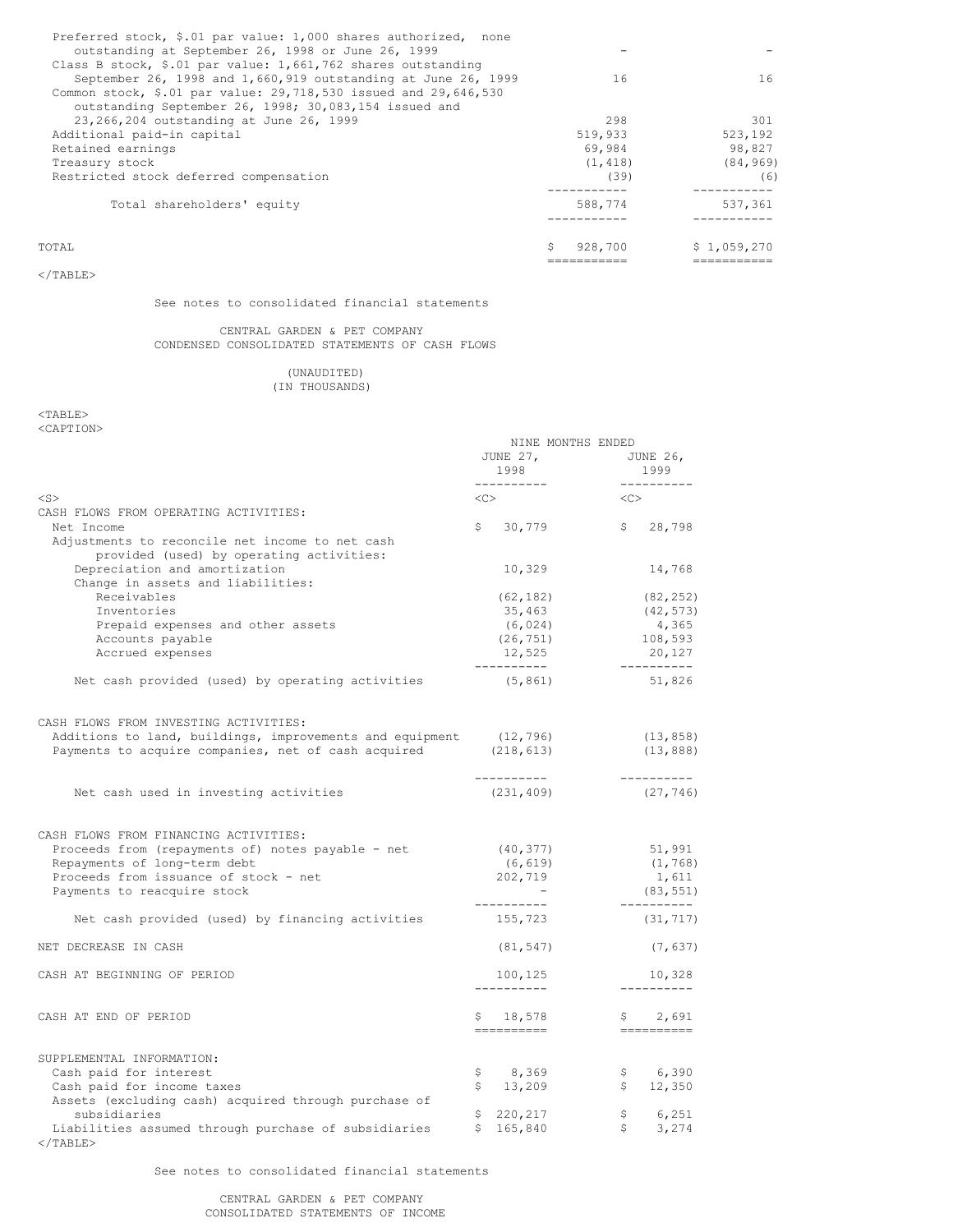| Preferred stock, \$.01 par value: 1,000 shares authorized, none<br>outstanding at September 26, 1998 or June 26, 1999 |               |             |
|-----------------------------------------------------------------------------------------------------------------------|---------------|-------------|
| Class B stock, \$.01 par value: $1,661,762$ shares outstanding                                                        |               |             |
| September 26, 1998 and 1,660,919 outstanding at June 26, 1999                                                         | 16            | 16          |
| Common stock, \$.01 par value: 29,718,530 issued and 29,646,530                                                       |               |             |
| outstanding September 26, 1998; 30,083,154 issued and                                                                 |               |             |
| 23, 266, 204 outstanding at June 26, 1999                                                                             | 298           | 301         |
| Additional paid-in capital                                                                                            | 519,933       | 523,192     |
| Retained earnings                                                                                                     | 69,984        | 98,827      |
| Treasury stock                                                                                                        | (1, 418)      | (84, 969)   |
| Restricted stock deferred compensation                                                                                | (39)          | (6)         |
| Total shareholders' equity                                                                                            | 588,774       | 537,361     |
|                                                                                                                       |               |             |
| TOTAL.                                                                                                                | Ŝ.<br>928,700 | \$1,059,270 |
|                                                                                                                       |               |             |

 $<$ /TABLE>

## See notes to consolidated financial statements

## CENTRAL GARDEN & PET COMPANY CONDENSED CONSOLIDATED STATEMENTS OF CASH FLOWS

(UNAUDITED) (IN THOUSANDS)

<TABLE> <CAPTION>

|                                                                           | NINE MONTHS ENDED              |                                |
|---------------------------------------------------------------------------|--------------------------------|--------------------------------|
|                                                                           | JUNE 27,<br>1998<br>---------- | JUNE 26,<br>1999<br>---------- |
| $<$ S $>$                                                                 | $<<$ $>$                       | <<>                            |
| CASH FLOWS FROM OPERATING ACTIVITIES:                                     |                                |                                |
| Net Income                                                                | $$30,779$ $$28,798$            |                                |
| Adjustments to reconcile net income to net cash                           |                                |                                |
| provided (used) by operating activities:<br>Depreciation and amortization |                                |                                |
| Change in assets and liabilities:                                         | 10,329                         | 14,768                         |
| Receivables                                                               | (62, 182)                      | (82, 252)                      |
| Inventories                                                               | 35,463                         | (42, 573)                      |
| Prepaid expenses and other assets                                         | (6, 024)                       | 4,365                          |
| Accounts payable                                                          | (26, 751)                      | 108,593                        |
| Accrued expenses                                                          | 12,525                         | 20,127                         |
|                                                                           | ----------                     | ----------                     |
| Net cash provided (used) by operating activities                          | (5, 861)                       | 51,826                         |
| CASH FLOWS FROM INVESTING ACTIVITIES:                                     |                                |                                |
| Additions to land, buildings, improvements and equipment (12,796)         |                                | (13, 858)                      |
| Payments to acquire companies, net of cash acquired (218,613)             |                                | (13, 888)                      |
| Net cash used in investing activities                                     | ----------<br>(231, 409)       | ----------<br>(27, 746)        |
|                                                                           |                                |                                |
| CASH FLOWS FROM FINANCING ACTIVITIES:                                     |                                |                                |
| Proceeds from (repayments of) notes payable - net                         | (40, 377)                      | 51,991                         |
| Repayments of long-term debt                                              | (6, 619)                       | (1, 768)                       |
| Proceeds from issuance of stock - net                                     | 202,719                        | 1,611                          |
| Payments to reacquire stock                                               | ----------                     | (83, 551)<br>----------        |
| Net cash provided (used) by financing activities                          | 155,723                        | (31, 717)                      |
| NET DECREASE IN CASH                                                      | (81, 547)                      | (7, 637)                       |
| CASH AT BEGINNING OF PERIOD                                               | 100,125                        | 10,328                         |
|                                                                           | __________                     | ----------                     |
| CASH AT END OF PERIOD                                                     | \$18,578                       | \$2,691                        |
|                                                                           | ==========                     |                                |
| SUPPLEMENTAL INFORMATION:                                                 |                                |                                |
| Cash paid for interest                                                    | $\mathsf{S}$<br>8,369          | \$ 6,390                       |
| Cash paid for income taxes                                                | \$<br>13,209                   | \$ 12,350                      |
| Assets (excluding cash) acquired through purchase of                      |                                |                                |
| subsidiaries                                                              | \$220, 217                     | \$6,251                        |
| Liabilities assumed through purchase of subsidiaries<br>$\langle$ /TABLE> | \$165,840                      | \$3,274                        |

See notes to consolidated financial statements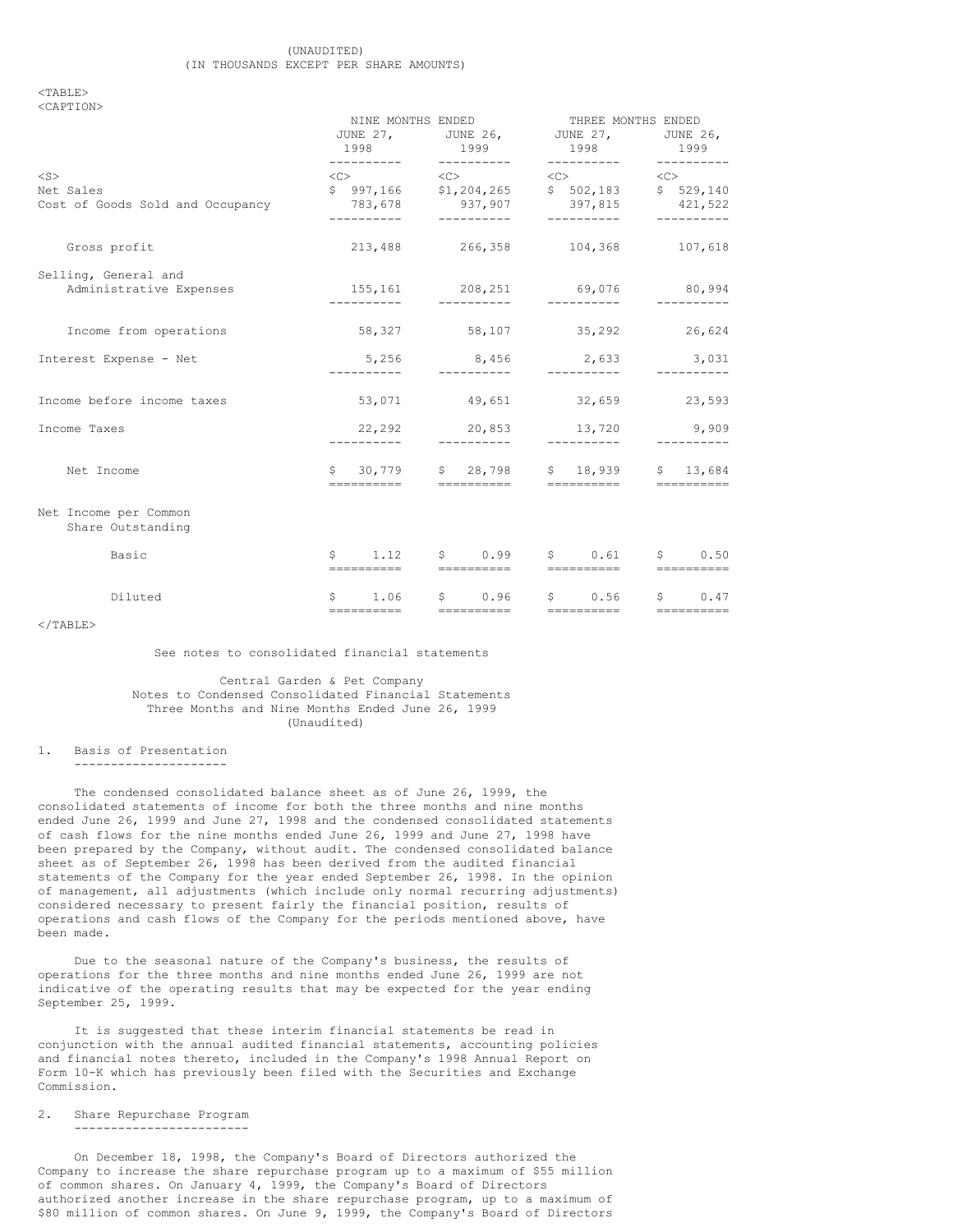#### $<$ TABLE> <CAPTION>

|                                               | NINE MONTHS ENDED<br>1998<br>----------- | 1999<br>----------- | THREE MONTHS ENDED<br>JUNE 27, JUNE 26, JUNE 27, JUNE 26,<br>1998<br>----------- | 1999<br>---------- |  |
|-----------------------------------------------|------------------------------------------|---------------------|----------------------------------------------------------------------------------|--------------------|--|
| $<$ S $>$                                     |                                          |                     | $\langle C \rangle$ $\langle C \rangle$ $\langle C \rangle$ $\langle C \rangle$  |                    |  |
| Net Sales<br>Cost of Goods Sold and Occupancy |                                          |                     | \$ 997,166 \$1,204,265 \$ 502,183 \$ 529,140<br>783,678 937,907 397,815 421,522  |                    |  |
|                                               |                                          |                     |                                                                                  | -----------        |  |
| Gross profit                                  |                                          |                     | 213,488 266,358 104,368 107,618                                                  |                    |  |
| Selling, General and                          |                                          |                     |                                                                                  |                    |  |
| Administrative Expenses                       |                                          | __________          | 155,161 208,251 69,076<br>-----------                                            | 80,994             |  |
| Income from operations                        |                                          |                     | 58,327 58,107 35,292 26,624                                                      |                    |  |
| Interest Expense - Net                        | 5,256                                    |                     | 8,456 2,633 3,031                                                                |                    |  |
| Income before income taxes                    |                                          |                     | $53,071$ 49,651 32,659 23,593                                                    |                    |  |
| Income Taxes                                  | -----------                              | ----------          | 22,292 20,853 13,720<br>__________                                               | 9,909              |  |
| Net Income                                    |                                          |                     | \$ 30,779 \$ 28,798 \$ 18,939                                                    | \$13,684           |  |
| Net Income per Common<br>Share Outstanding    |                                          |                     |                                                                                  |                    |  |
| Basic                                         |                                          |                     | $\begin{array}{ccccccccccccc}\nS & 1.12 & S & 0.99 & S & 0.61\n\end{array}$      | \$0.50             |  |
| Diluted                                       |                                          | ____________        | $$1.06$ $$0.96$ $$0.56$ $$0.47$                                                  |                    |  |

 $<$ /TABLE>

See notes to consolidated financial statements

Central Garden & Pet Company Notes to Condensed Consolidated Financial Statements Three Months and Nine Months Ended June 26, 1999 (Unaudited)

## 1. Basis of Presentation

---------------------

The condensed consolidated balance sheet as of June 26, 1999, the consolidated statements of income for both the three months and nine months ended June 26, 1999 and June 27, 1998 and the condensed consolidated statements of cash flows for the nine months ended June 26, 1999 and June 27, 1998 have been prepared by the Company, without audit. The condensed consolidated balance sheet as of September 26, 1998 has been derived from the audited financial statements of the Company for the year ended September 26, 1998. In the opinion of management, all adjustments (which include only normal recurring adjustments) considered necessary to present fairly the financial position, results of operations and cash flows of the Company for the periods mentioned above, have been made.

Due to the seasonal nature of the Company's business, the results of operations for the three months and nine months ended June 26, 1999 are not indicative of the operating results that may be expected for the year ending September 25, 1999.

It is suggested that these interim financial statements be read in conjunction with the annual audited financial statements, accounting policies and financial notes thereto, included in the Company's 1998 Annual Report on Form 10-K which has previously been filed with the Securities and Exchange Commission.

#### 2. Share Repurchase Program

------------------------

On December 18, 1998, the Company's Board of Directors authorized the Company to increase the share repurchase program up to a maximum of \$55 million of common shares. On January 4, 1999, the Company's Board of Directors authorized another increase in the share repurchase program, up to a maximum of \$80 million of common shares. On June 9, 1999, the Company's Board of Directors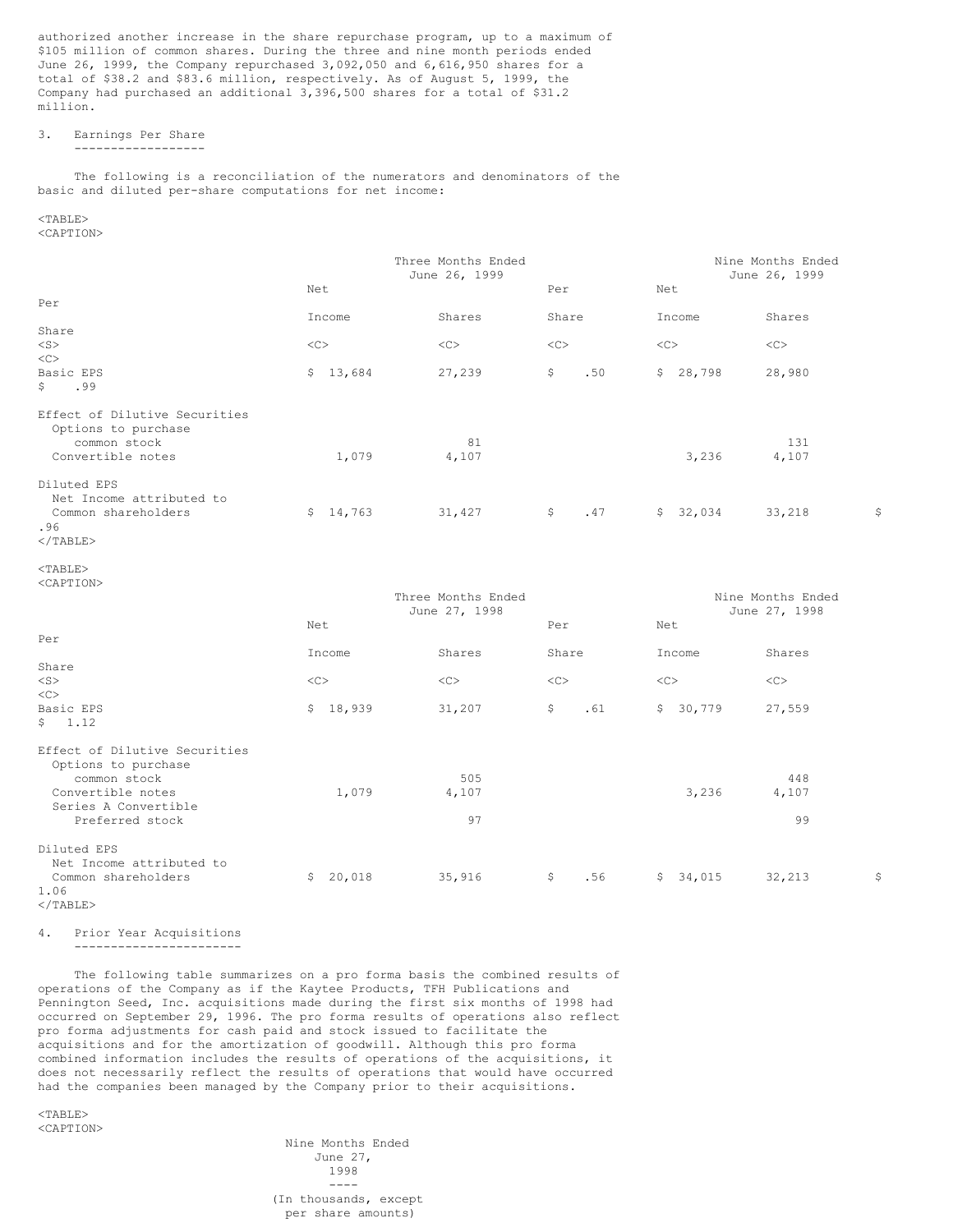authorized another increase in the share repurchase program, up to a maximum of \$105 million of common shares. During the three and nine month periods ended June 26, 1999, the Company repurchased 3,092,050 and 6,616,950 shares for a total of \$38.2 and \$83.6 million, respectively. As of August 5, 1999, the Company had purchased an additional 3,396,500 shares for a total of \$31.2 million.

# 3. Earnings Per Share

------------------

The following is a reconciliation of the numerators and denominators of the basic and diluted per-share computations for net income:

# <TABLE>

<CAPTION>

|                                     | Three Months Ended<br>June 26, 1999 |        | Nine Months Ended<br>June 26, 1999 |          |        |    |
|-------------------------------------|-------------------------------------|--------|------------------------------------|----------|--------|----|
|                                     | Net                                 |        | Per                                | Net      |        |    |
| Per                                 |                                     |        |                                    |          |        |    |
|                                     | Income                              | Shares | Share                              | Income   | Shares |    |
| Share                               |                                     |        |                                    |          |        |    |
| $<$ S $>$                           | <<                                  | <<     | <<                                 | <<       | <<     |    |
| <<                                  |                                     |        |                                    |          |        |    |
| Basic EPS                           | \$13,684                            | 27,239 | \$<br>.50                          | \$28,798 | 28,980 |    |
| $\mathsf{S}$<br>.99                 |                                     |        |                                    |          |        |    |
| Effect of Dilutive Securities       |                                     |        |                                    |          |        |    |
| Options to purchase<br>common stock |                                     | 81     |                                    |          | 131    |    |
| Convertible notes                   | 1,079                               | 4,107  |                                    | 3,236    | 4,107  |    |
| Diluted EPS                         |                                     |        |                                    |          |        |    |
| Net Income attributed to            |                                     |        |                                    |          |        |    |
| Common shareholders<br>.96          | \$14,763                            | 31,427 | \$<br>.47                          | \$32,034 | 33,218 | \$ |
| $2$ /mantry                         |                                     |        |                                    |          |        |    |

</TABLE>

 $\langle$ /TABLE>

4. Prior Year Acquisitions -----------------------

The following table summarizes on a pro forma basis the combined results of operations of the Company as if the Kaytee Products, TFH Publications and Pennington Seed, Inc. acquisitions made during the first six months of 1998 had occurred on September 29, 1996. The pro forma results of operations also reflect pro forma adjustments for cash paid and stock issued to facilitate the acquisitions and for the amortization of goodwill. Although this pro forma combined information includes the results of operations of the acquisitions, it does not necessarily reflect the results of operations that would have occurred had the companies been managed by the Company prior to their acquisitions.

 $<$ TABLE> <CAPTION>

Nine Months Ended June 27, 1998 ---- (In thousands, except per share amounts)

 $<$ TABLE> <CAPTION>

Three Months Ended Three Months Ended June 27, 1998 June 27, 1998 Net Net Per Net Per Income Shares Share Income Shares Share <S> <C> <C> <C> <C> <C>  $<$ Basic EPS \$ 18,939 31,207 \$ .61 \$ 30,779 27,559 \$ 1.12 Effect of Dilutive Securities Options to purchase common stock  $\begin{array}{ccc} 505 & 505 & 448 \\ 1,079 & 4,107 & 3,236 & 4,107 \end{array}$ Convertible notes Series A Convertible Preferred stock 97 99 Diluted EPS Net Income attributed to Common shareholders  $\frac{1}{5}$  20,018  $\frac{35}{35}$ ,916  $\frac{1}{5}$   $\frac{1}{5}$   $\frac{34}{34}$ ,015  $\frac{32}{32}$ ,213  $\frac{5}{5}$ 1.06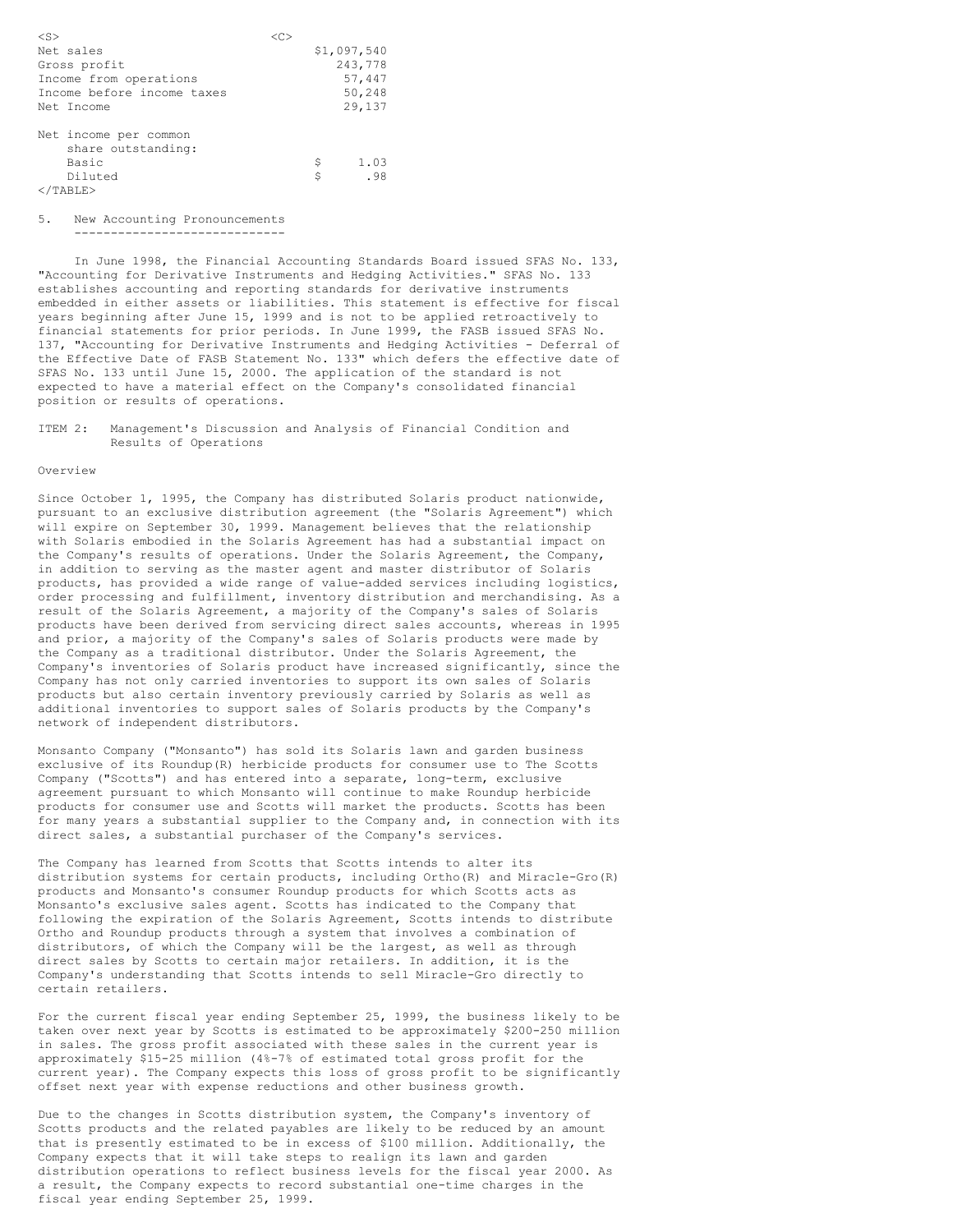| $<$ S $>$                  | ⊂^` |             |
|----------------------------|-----|-------------|
| Net sales                  |     | \$1,097,540 |
| Gross profit               |     | 243,778     |
| Income from operations     |     | 57,447      |
| Income before income taxes |     | 50,248      |
| Net Income                 |     | 29,137      |
|                            |     |             |
| Net income per common      |     |             |
| share outstanding:         |     |             |
| Basic                      |     | \$<br>1.03  |
| Diluted                    |     | .98<br>\$   |
| $\langle$ /TABLE>          |     |             |

### 5. New Accounting Pronouncements

-----------------------------

In June 1998, the Financial Accounting Standards Board issued SFAS No. 133, "Accounting for Derivative Instruments and Hedging Activities." SFAS No. 133 establishes accounting and reporting standards for derivative instruments embedded in either assets or liabilities. This statement is effective for fiscal years beginning after June 15, 1999 and is not to be applied retroactively to financial statements for prior periods. In June 1999, the FASB issued SFAS No. 137, "Accounting for Derivative Instruments and Hedging Activities - Deferral of the Effective Date of FASB Statement No. 133" which defers the effective date of SFAS No. 133 until June 15, 2000. The application of the standard is not expected to have a material effect on the Company's consolidated financial position or results of operations.

ITEM 2: Management's Discussion and Analysis of Financial Condition and Results of Operations

#### Overview

Since October 1, 1995, the Company has distributed Solaris product nationwide, pursuant to an exclusive distribution agreement (the "Solaris Agreement") which will expire on September 30, 1999. Management believes that the relationship with Solaris embodied in the Solaris Agreement has had a substantial impact on the Company's results of operations. Under the Solaris Agreement, the Company, in addition to serving as the master agent and master distributor of Solaris products, has provided a wide range of value-added services including logistics, order processing and fulfillment, inventory distribution and merchandising. As a result of the Solaris Agreement, a majority of the Company's sales of Solaris products have been derived from servicing direct sales accounts, whereas in 1995 and prior, a majority of the Company's sales of Solaris products were made by the Company as a traditional distributor. Under the Solaris Agreement, the Company's inventories of Solaris product have increased significantly, since the Company has not only carried inventories to support its own sales of Solaris products but also certain inventory previously carried by Solaris as well as additional inventories to support sales of Solaris products by the Company's network of independent distributors.

Monsanto Company ("Monsanto") has sold its Solaris lawn and garden business exclusive of its Roundup(R) herbicide products for consumer use to The Scotts Company ("Scotts") and has entered into a separate, long-term, exclusive agreement pursuant to which Monsanto will continue to make Roundup herbicide products for consumer use and Scotts will market the products. Scotts has been for many years a substantial supplier to the Company and, in connection with its direct sales, a substantial purchaser of the Company's services.

The Company has learned from Scotts that Scotts intends to alter its distribution systems for certain products, including Ortho(R) and Miracle-Gro(R) products and Monsanto's consumer Roundup products for which Scotts acts as Monsanto's exclusive sales agent. Scotts has indicated to the Company that following the expiration of the Solaris Agreement, Scotts intends to distribute Ortho and Roundup products through a system that involves a combination of distributors, of which the Company will be the largest, as well as through direct sales by Scotts to certain major retailers. In addition, it is the Company's understanding that Scotts intends to sell Miracle-Gro directly to certain retailers.

For the current fiscal year ending September 25, 1999, the business likely to be taken over next year by Scotts is estimated to be approximately \$200-250 million in sales. The gross profit associated with these sales in the current year is approximately \$15-25 million (4%-7% of estimated total gross profit for the current year). The Company expects this loss of gross profit to be significantly offset next year with expense reductions and other business growth.

Due to the changes in Scotts distribution system, the Company's inventory of Scotts products and the related payables are likely to be reduced by an amount that is presently estimated to be in excess of \$100 million. Additionally, the Company expects that it will take steps to realign its lawn and garden distribution operations to reflect business levels for the fiscal year 2000. As a result, the Company expects to record substantial one-time charges in the fiscal year ending September 25, 1999.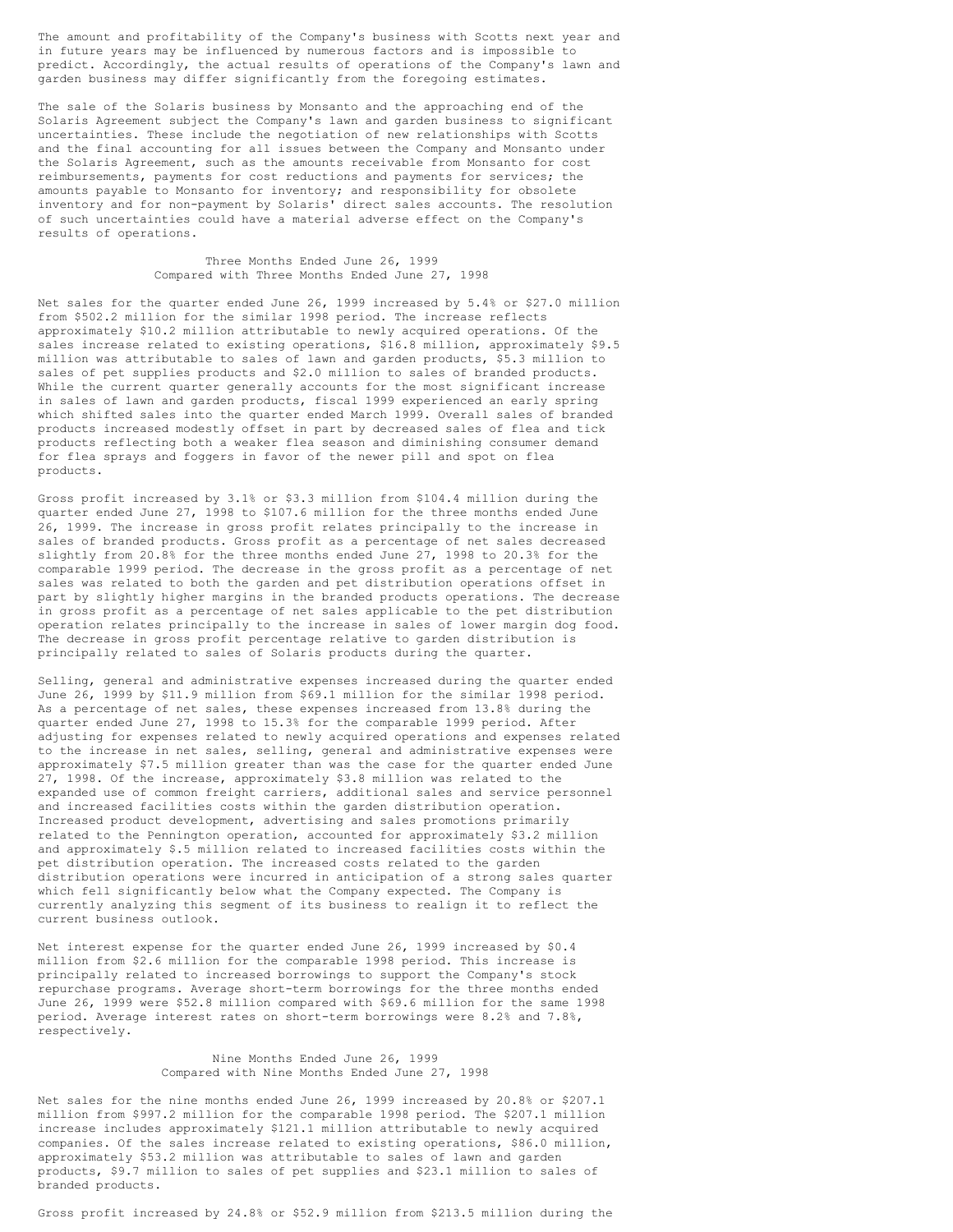The amount and profitability of the Company's business with Scotts next year and in future years may be influenced by numerous factors and is impossible to predict. Accordingly, the actual results of operations of the Company's lawn and garden business may differ significantly from the foregoing estimates.

The sale of the Solaris business by Monsanto and the approaching end of the Solaris Agreement subject the Company's lawn and garden business to significant uncertainties. These include the negotiation of new relationships with Scotts and the final accounting for all issues between the Company and Monsanto under the Solaris Agreement, such as the amounts receivable from Monsanto for cost reimbursements, payments for cost reductions and payments for services; the amounts payable to Monsanto for inventory; and responsibility for obsolete inventory and for non-payment by Solaris' direct sales accounts. The resolution of such uncertainties could have a material adverse effect on the Company's results of operations.

#### Three Months Ended June 26, 1999 Compared with Three Months Ended June 27, 1998

Net sales for the quarter ended June 26, 1999 increased by 5.4% or \$27.0 million from \$502.2 million for the similar 1998 period. The increase reflects approximately \$10.2 million attributable to newly acquired operations. Of the sales increase related to existing operations, \$16.8 million, approximately \$9.5 million was attributable to sales of lawn and garden products, \$5.3 million to sales of pet supplies products and \$2.0 million to sales of branded products. While the current quarter generally accounts for the most significant increase in sales of lawn and garden products, fiscal 1999 experienced an early spring which shifted sales into the quarter ended March 1999. Overall sales of branded products increased modestly offset in part by decreased sales of flea and tick products reflecting both a weaker flea season and diminishing consumer demand for flea sprays and foggers in favor of the newer pill and spot on flea products.

Gross profit increased by 3.1% or \$3.3 million from \$104.4 million during the quarter ended June 27, 1998 to \$107.6 million for the three months ended June 26, 1999. The increase in gross profit relates principally to the increase in sales of branded products. Gross profit as a percentage of net sales decreased slightly from 20.8% for the three months ended June 27, 1998 to 20.3% for the comparable 1999 period. The decrease in the gross profit as a percentage of net sales was related to both the garden and pet distribution operations offset in part by slightly higher margins in the branded products operations. The decrease in gross profit as a percentage of net sales applicable to the pet distribution operation relates principally to the increase in sales of lower margin dog food. The decrease in gross profit percentage relative to garden distribution is principally related to sales of Solaris products during the quarter.

Selling, general and administrative expenses increased during the quarter ended June 26, 1999 by \$11.9 million from \$69.1 million for the similar 1998 period. As a percentage of net sales, these expenses increased from 13.8% during the quarter ended June 27, 1998 to 15.3% for the comparable 1999 period. After adjusting for expenses related to newly acquired operations and expenses related to the increase in net sales, selling, general and administrative expenses were approximately \$7.5 million greater than was the case for the quarter ended June 27, 1998. Of the increase, approximately \$3.8 million was related to the expanded use of common freight carriers, additional sales and service personnel and increased facilities costs within the garden distribution operation. Increased product development, advertising and sales promotions primarily related to the Pennington operation, accounted for approximately \$3.2 million and approximately \$.5 million related to increased facilities costs within the pet distribution operation. The increased costs related to the garden distribution operations were incurred in anticipation of a strong sales quarter which fell significantly below what the Company expected. The Company is currently analyzing this segment of its business to realign it to reflect the current business outlook.

Net interest expense for the quarter ended June 26, 1999 increased by \$0.4 million from \$2.6 million for the comparable 1998 period. This increase is principally related to increased borrowings to support the Company's stock repurchase programs. Average short-term borrowings for the three months ended June 26, 1999 were \$52.8 million compared with \$69.6 million for the same 1998 period. Average interest rates on short-term borrowings were 8.2% and 7.8%, respectively.

## Nine Months Ended June 26, 1999 Compared with Nine Months Ended June 27, 1998

Net sales for the nine months ended June 26, 1999 increased by 20.8% or \$207.1 million from \$997.2 million for the comparable 1998 period. The \$207.1 million increase includes approximately \$121.1 million attributable to newly acquired companies. Of the sales increase related to existing operations, \$86.0 million, approximately \$53.2 million was attributable to sales of lawn and garden products, \$9.7 million to sales of pet supplies and \$23.1 million to sales of branded products.

Gross profit increased by 24.8% or \$52.9 million from \$213.5 million during the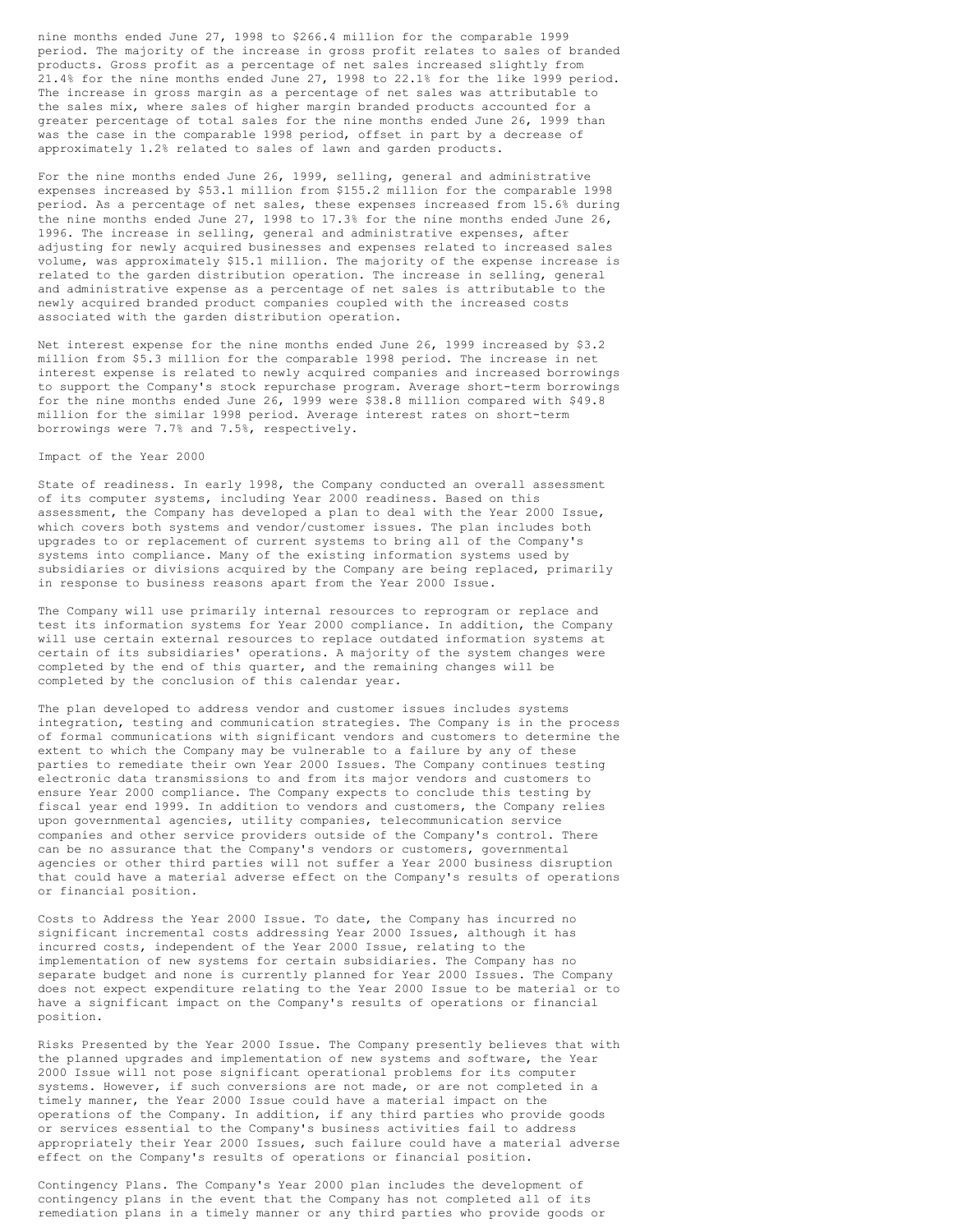nine months ended June 27, 1998 to \$266.4 million for the comparable 1999 period. The majority of the increase in gross profit relates to sales of branded products. Gross profit as a percentage of net sales increased slightly from 21.4% for the nine months ended June 27, 1998 to 22.1% for the like 1999 period. The increase in gross margin as a percentage of net sales was attributable to the sales mix, where sales of higher margin branded products accounted for a greater percentage of total sales for the nine months ended June 26, 1999 than was the case in the comparable 1998 period, offset in part by a decrease of approximately 1.2% related to sales of lawn and garden products.

For the nine months ended June 26, 1999, selling, general and administrative expenses increased by \$53.1 million from \$155.2 million for the comparable 1998 period. As a percentage of net sales, these expenses increased from 15.6% during the nine months ended June 27, 1998 to 17.3% for the nine months ended June 26, 1996. The increase in selling, general and administrative expenses, after adjusting for newly acquired businesses and expenses related to increased sales volume, was approximately \$15.1 million. The majority of the expense increase is related to the garden distribution operation. The increase in selling, general and administrative expense as a percentage of net sales is attributable to the newly acquired branded product companies coupled with the increased costs associated with the garden distribution operation.

Net interest expense for the nine months ended June 26, 1999 increased by \$3.2 million from \$5.3 million for the comparable 1998 period. The increase in net interest expense is related to newly acquired companies and increased borrowings to support the Company's stock repurchase program. Average short-term borrowings for the nine months ended June 26, 1999 were \$38.8 million compared with \$49.8 million for the similar 1998 period. Average interest rates on short-term borrowings were 7.7% and 7.5%, respectively.

#### Impact of the Year 2000

State of readiness. In early 1998, the Company conducted an overall assessment of its computer systems, including Year 2000 readiness. Based on this assessment, the Company has developed a plan to deal with the Year 2000 Issue, which covers both systems and vendor/customer issues. The plan includes both upgrades to or replacement of current systems to bring all of the Company's systems into compliance. Many of the existing information systems used by subsidiaries or divisions acquired by the Company are being replaced, primarily in response to business reasons apart from the Year 2000 Issue.

The Company will use primarily internal resources to reprogram or replace and test its information systems for Year 2000 compliance. In addition, the Company will use certain external resources to replace outdated information systems at certain of its subsidiaries' operations. A majority of the system changes were completed by the end of this quarter, and the remaining changes will be completed by the conclusion of this calendar year.

The plan developed to address vendor and customer issues includes systems integration, testing and communication strategies. The Company is in the process of formal communications with significant vendors and customers to determine the extent to which the Company may be vulnerable to a failure by any of these parties to remediate their own Year 2000 Issues. The Company continues testing electronic data transmissions to and from its major vendors and customers to ensure Year 2000 compliance. The Company expects to conclude this testing by fiscal year end 1999. In addition to vendors and customers, the Company relies upon governmental agencies, utility companies, telecommunication service companies and other service providers outside of the Company's control. There can be no assurance that the Company's vendors or customers, governmental agencies or other third parties will not suffer a Year 2000 business disruption that could have a material adverse effect on the Company's results of operations or financial position.

Costs to Address the Year 2000 Issue. To date, the Company has incurred no significant incremental costs addressing Year 2000 Issues, although it has incurred costs, independent of the Year 2000 Issue, relating to the implementation of new systems for certain subsidiaries. The Company has no separate budget and none is currently planned for Year 2000 Issues. The Company does not expect expenditure relating to the Year 2000 Issue to be material or to have a significant impact on the Company's results of operations or financial position.

Risks Presented by the Year 2000 Issue. The Company presently believes that with the planned upgrades and implementation of new systems and software, the Year 2000 Issue will not pose significant operational problems for its computer systems. However, if such conversions are not made, or are not completed in a timely manner, the Year 2000 Issue could have a material impact on the operations of the Company. In addition, if any third parties who provide goods or services essential to the Company's business activities fail to address appropriately their Year 2000 Issues, such failure could have a material adverse effect on the Company's results of operations or financial position.

Contingency Plans. The Company's Year 2000 plan includes the development of contingency plans in the event that the Company has not completed all of its remediation plans in a timely manner or any third parties who provide goods or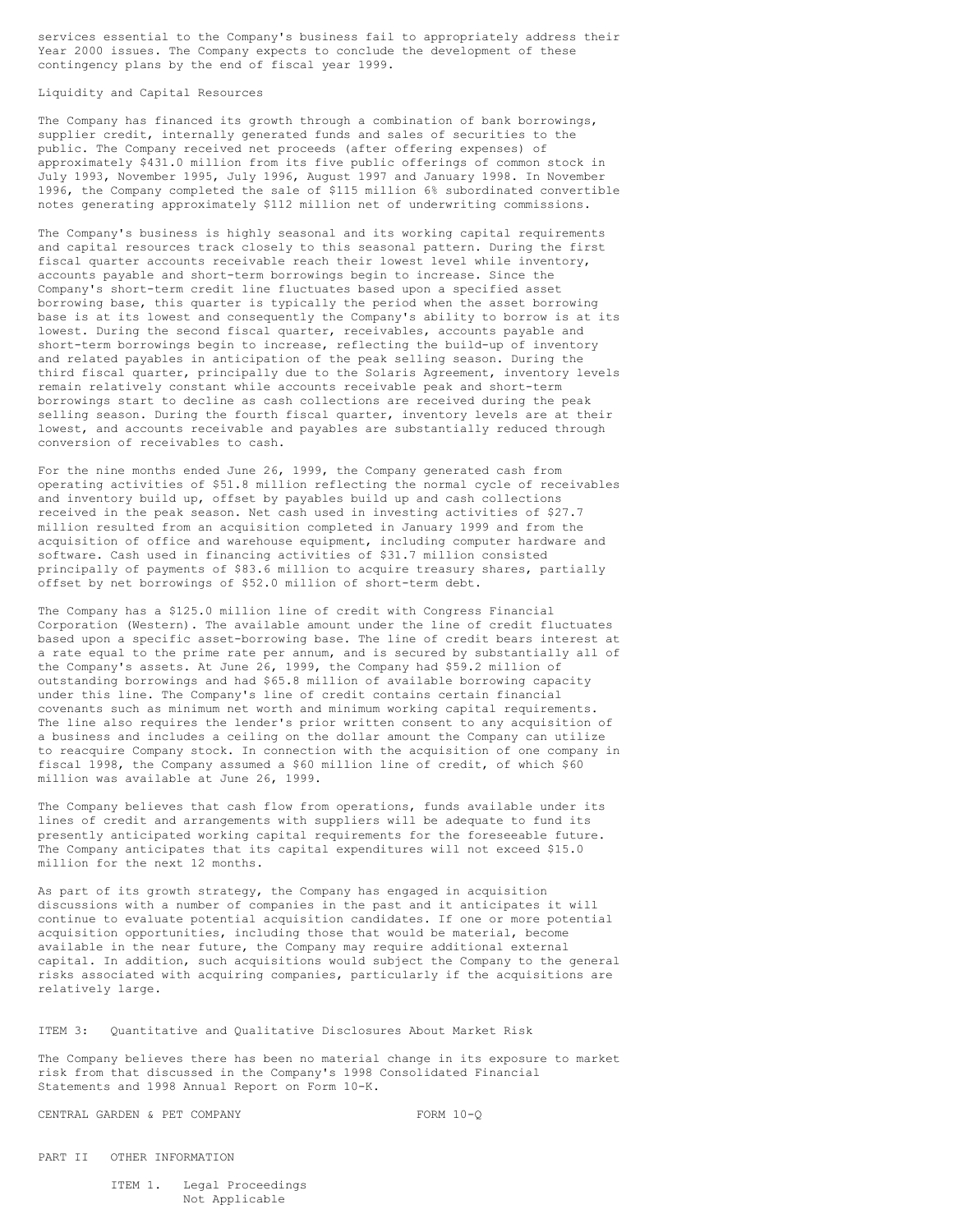services essential to the Company's business fail to appropriately address their Year 2000 issues. The Company expects to conclude the development of these contingency plans by the end of fiscal year 1999.

Liquidity and Capital Resources

The Company has financed its growth through a combination of bank borrowings, supplier credit, internally generated funds and sales of securities to the public. The Company received net proceeds (after offering expenses) of approximately \$431.0 million from its five public offerings of common stock in July 1993, November 1995, July 1996, August 1997 and January 1998. In November 1996, the Company completed the sale of \$115 million 6% subordinated convertible notes generating approximately \$112 million net of underwriting commissions.

The Company's business is highly seasonal and its working capital requirements and capital resources track closely to this seasonal pattern. During the first fiscal quarter accounts receivable reach their lowest level while inventory, accounts payable and short-term borrowings begin to increase. Since the Company's short-term credit line fluctuates based upon a specified asset borrowing base, this quarter is typically the period when the asset borrowing base is at its lowest and consequently the Company's ability to borrow is at its lowest. During the second fiscal quarter, receivables, accounts payable and short-term borrowings begin to increase, reflecting the build-up of inventory and related payables in anticipation of the peak selling season. During the third fiscal quarter, principally due to the Solaris Agreement, inventory levels remain relatively constant while accounts receivable peak and short-term borrowings start to decline as cash collections are received during the peak selling season. During the fourth fiscal quarter, inventory levels are at their lowest, and accounts receivable and payables are substantially reduced through conversion of receivables to cash.

For the nine months ended June 26, 1999, the Company generated cash from operating activities of \$51.8 million reflecting the normal cycle of receivables and inventory build up, offset by payables build up and cash collections received in the peak season. Net cash used in investing activities of \$27.7 million resulted from an acquisition completed in January 1999 and from the acquisition of office and warehouse equipment, including computer hardware and software. Cash used in financing activities of \$31.7 million consisted principally of payments of \$83.6 million to acquire treasury shares, partially offset by net borrowings of \$52.0 million of short-term debt.

The Company has a \$125.0 million line of credit with Congress Financial Corporation (Western). The available amount under the line of credit fluctuates based upon a specific asset-borrowing base. The line of credit bears interest at a rate equal to the prime rate per annum, and is secured by substantially all of the Company's assets. At June 26, 1999, the Company had \$59.2 million of outstanding borrowings and had \$65.8 million of available borrowing capacity under this line. The Company's line of credit contains certain financial covenants such as minimum net worth and minimum working capital requirements. The line also requires the lender's prior written consent to any acquisition of a business and includes a ceiling on the dollar amount the Company can utilize to reacquire Company stock. In connection with the acquisition of one company in fiscal 1998, the Company assumed a \$60 million line of credit, of which \$60 million was available at June 26, 1999.

The Company believes that cash flow from operations, funds available under its lines of credit and arrangements with suppliers will be adequate to fund its presently anticipated working capital requirements for the foreseeable future. The Company anticipates that its capital expenditures will not exceed \$15.0 million for the next 12 months.

As part of its growth strategy, the Company has engaged in acquisition discussions with a number of companies in the past and it anticipates it will continue to evaluate potential acquisition candidates. If one or more potential acquisition opportunities, including those that would be material, become available in the near future, the Company may require additional external capital. In addition, such acquisitions would subject the Company to the general risks associated with acquiring companies, particularly if the acquisitions are relatively large.

ITEM 3: Quantitative and Qualitative Disclosures About Market Risk

The Company believes there has been no material change in its exposure to market risk from that discussed in the Company's 1998 Consolidated Financial Statements and 1998 Annual Report on Form 10-K.

CENTRAL GARDEN & PET COMPANY FORM 10-Q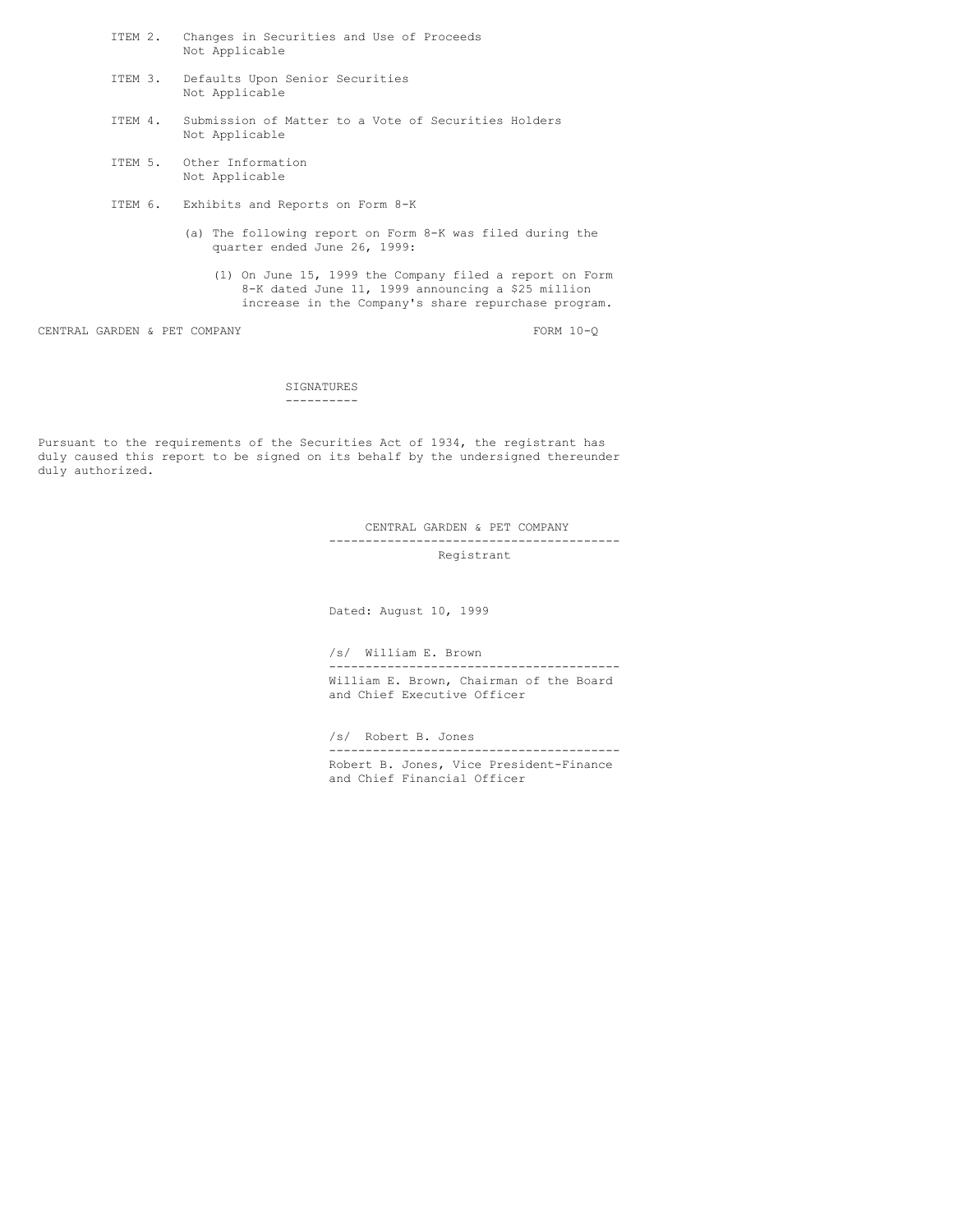- ITEM 2. Changes in Securities and Use of Proceeds Not Applicable
- ITEM 3. Defaults Upon Senior Securities Not Applicable
- ITEM 4. Submission of Matter to a Vote of Securities Holders Not Applicable
- ITEM 5. Other Information Not Applicable
- ITEM 6. Exhibits and Reports on Form 8-K
	- (a) The following report on Form 8-K was filed during the quarter ended June 26, 1999:
		- (1) On June 15, 1999 the Company filed a report on Form 8-K dated June 11, 1999 announcing a \$25 million increase in the Company's share repurchase program.

CENTRAL GARDEN & PET COMPANY FORM 10-Q

SIGNATURES ----------

Pursuant to the requirements of the Securities Act of 1934, the registrant has duly caused this report to be signed on its behalf by the undersigned thereunder duly authorized.

> CENTRAL GARDEN & PET COMPANY ---------------------------------------- Registrant

Dated: August 10, 1999

/s/ William E. Brown

---------------------------------------- William E. Brown, Chairman of the Board and Chief Executive Officer

/s/ Robert B. Jones

---------------------------------------- Robert B. Jones, Vice President-Finance and Chief Financial Officer